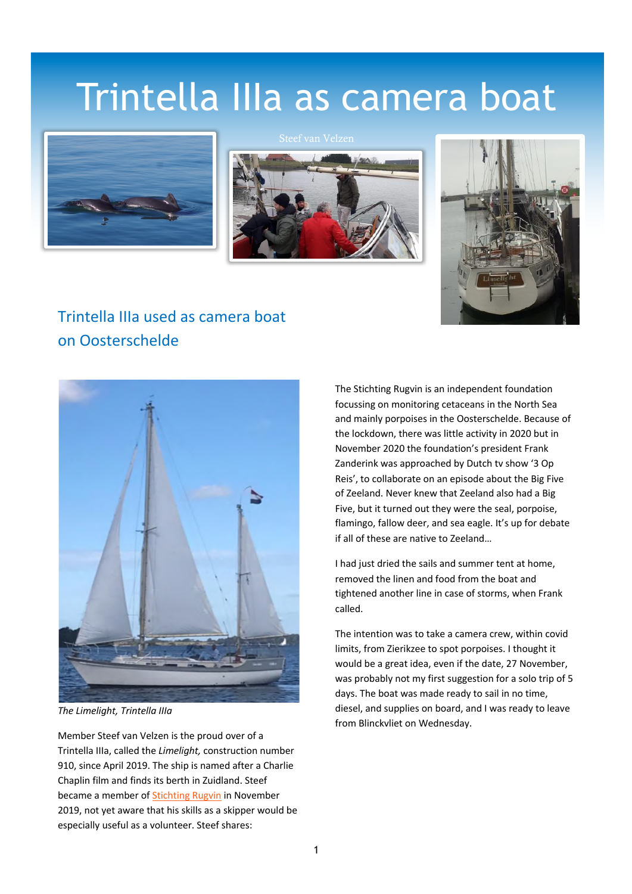## Trintella IIIa as camera boat







## Trintella IIIa used as camera boat on Oosterschelde



*The Limelight, Trintella IIIa*

Member Steef van Velzen is the proud over of a Trintella IIIa, called the *Limelight,* construction number 910, since April 2019. The ship is named after a Charlie Chaplin film and finds its berth in Zuidland. Steef became a member of Stichting Rugvin in November 2019, not yet aware that his skills as a skipper would be especially useful as a volunteer. Steef shares:

The Stichting Rugvin is an independent foundation focussing on monitoring cetaceans in the North Sea and mainly porpoises in the Oosterschelde. Because of the lockdown, there was little activity in 2020 but in November 2020 the foundation's president Frank Zanderink was approached by Dutch tv show '3 Op Reis', to collaborate on an episode about the Big Five of Zeeland. Never knew that Zeeland also had a Big Five, but it turned out they were the seal, porpoise, flamingo, fallow deer, and sea eagle. It's up for debate if all of these are native to Zeeland…

I had just dried the sails and summer tent at home, removed the linen and food from the boat and tightened another line in case of storms, when Frank called.

The intention was to take a camera crew, within covid limits, from Zierikzee to spot porpoises. I thought it would be a great idea, even if the date, 27 November, was probably not my first suggestion for a solo trip of 5 days. The boat was made ready to sail in no time, diesel, and supplies on board, and I was ready to leave from Blinckvliet on Wednesday.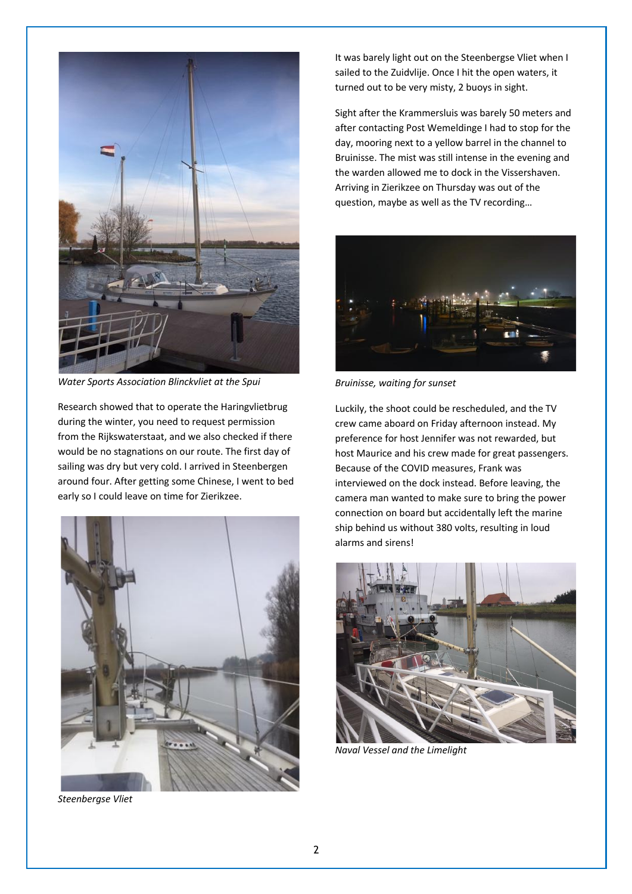

*Water Sports Association Blinckvliet at the Spui*

Research showed that to operate the Haringvlietbrug during the winter, you need to request permission from the Rijkswaterstaat, and we also checked if there would be no stagnations on our route. The first day of sailing was dry but very cold. I arrived in Steenbergen around four. After getting some Chinese, I went to bed early so I could leave on time for Zierikzee.



*Steenbergse Vliet*

It was barely light out on the Steenbergse Vliet when I sailed to the Zuidvlije. Once I hit the open waters, it turned out to be very misty, 2 buoys in sight.

Sight after the Krammersluis was barely 50 meters and after contacting Post Wemeldinge I had to stop for the day, mooring next to a yellow barrel in the channel to Bruinisse. The mist was still intense in the evening and the warden allowed me to dock in the Vissershaven. Arriving in Zierikzee on Thursday was out of the question, maybe as well as the TV recording…



*Bruinisse, waiting for sunset*

Luckily, the shoot could be rescheduled, and the TV crew came aboard on Friday afternoon instead. My preference for host Jennifer was not rewarded, but host Maurice and his crew made for great passengers. Because of the COVID measures, Frank was interviewed on the dock instead. Before leaving, the camera man wanted to make sure to bring the power connection on board but accidentally left the marine ship behind us without 380 volts, resulting in loud alarms and sirens!



*Naval Vessel and the Limelight*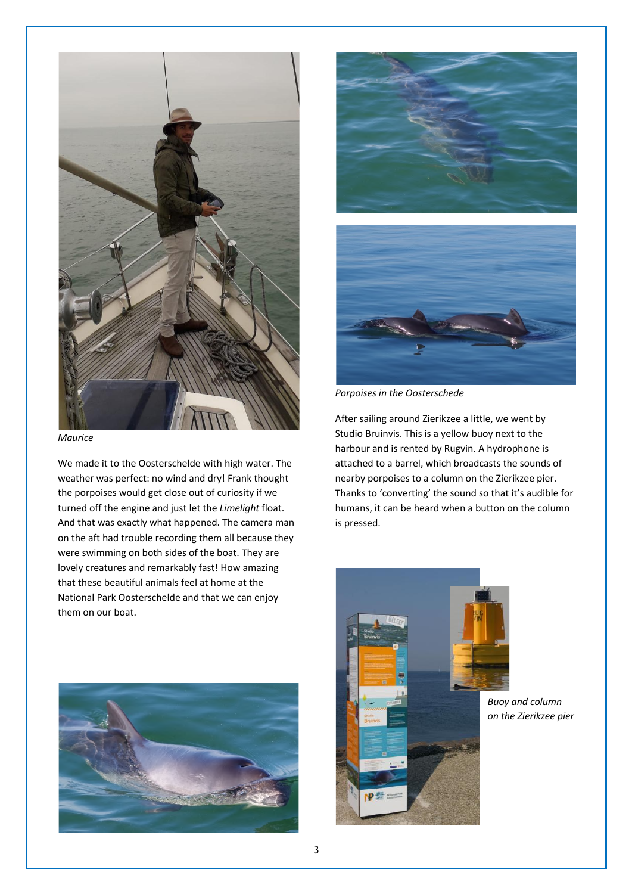

*Maurice*

We made it to the Oosterschelde with high water. The weather was perfect: no wind and dry! Frank thought the porpoises would get close out of curiosity if we turned off the engine and just let the *Limelight* float. And that was exactly what happened. The camera man on the aft had trouble recording them all because they were swimming on both sides of the boat. They are lovely creatures and remarkably fast! How amazing that these beautiful animals feel at home at the National Park Oosterschelde and that we can enjoy them on our boat.







*Porpoises in the Oosterschede*

After sailing around Zierikzee a little, we went by Studio Bruinvis. This is a yellow buoy next to the harbour and is rented by Rugvin. A hydrophone is attached to a barrel, which broadcasts the sounds of nearby porpoises to a column on the Zierikzee pier. Thanks to 'converting' the sound so that it's audible for humans, it can be heard when a button on the column is pressed.



*Buoy and column on the Zierikzee pier*